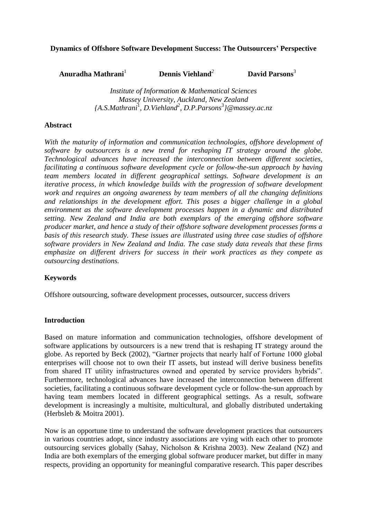### **Dynamics of Offshore Software Development Success: The Outsourcers' Perspective**

**Anuradha Mathrani**<sup>1</sup>  **Dennis Viehland***<sup>2</sup>*  **David Parsons**<sup>3</sup>

> *Institute of Information & Mathematical Sciences Massey University, Auckland, New Zealand {A.S.Mathrani*<sup>1</sup> *, D.Viehland<sup>2</sup> , D.P.Parsons*<sup>3</sup> *}@massey.ac.nz*

#### **Abstract**

*With the maturity of information and communication technologies, offshore development of software by outsourcers is a new trend for reshaping IT strategy around the globe. Technological advances have increased the interconnection between different societies, facilitating a continuous software development cycle or follow-the-sun approach by having team members located in different geographical settings. Software development is an iterative process, in which knowledge builds with the progression of software development work and requires an ongoing awareness by team members of all the changing definitions and relationships in the development effort. This poses a bigger challenge in a global environment as the software development processes happen in a dynamic and distributed setting. New Zealand and India are both exemplars of the emerging offshore software producer market, and hence a study of their offshore software development processes forms a basis of this research study. These issues are illustrated using three case studies of offshore software providers in New Zealand and India. The case study data reveals that these firms emphasize on different drivers for success in their work practices as they compete as outsourcing destinations.* 

#### **Keywords**

Offshore outsourcing, software development processes, outsourcer, success drivers

#### **Introduction**

Based on mature information and communication technologies, offshore development of software applications by outsourcers is a new trend that is reshaping IT strategy around the globe. As reported by Beck (2002), "Gartner projects that nearly half of Fortune 1000 global enterprises will choose not to own their IT assets, but instead will derive business benefits from shared IT utility infrastructures owned and operated by service providers hybrids". Furthermore, technological advances have increased the interconnection between different societies, facilitating a continuous software development cycle or follow-the-sun approach by having team members located in different geographical settings. As a result, software development is increasingly a multisite, multicultural, and globally distributed undertaking (Herbsleb & Moitra 2001).

Now is an opportune time to understand the software development practices that outsourcers in various countries adopt, since industry associations are vying with each other to promote outsourcing services globally (Sahay, Nicholson & Krishna 2003). New Zealand (NZ) and India are both exemplars of the emerging global software producer market, but differ in many respects, providing an opportunity for meaningful comparative research. This paper describes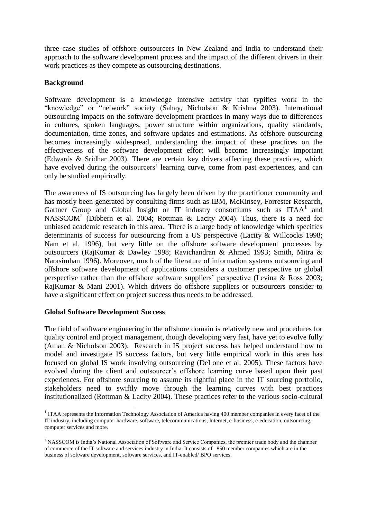three case studies of offshore outsourcers in New Zealand and India to understand their approach to the software development process and the impact of the different drivers in their work practices as they compete as outsourcing destinations.

## **Background**

Software development is a knowledge intensive activity that typifies work in the "knowledge" or "network" society (Sahay, Nicholson & Krishna 2003). International outsourcing impacts on the software development practices in many ways due to differences in cultures, spoken languages, power structure within organizations, quality standards, documentation, time zones, and software updates and estimations. As offshore outsourcing becomes increasingly widespread, understanding the impact of these practices on the effectiveness of the software development effort will become increasingly important (Edwards & Sridhar 2003). There are certain key drivers affecting these practices, which have evolved during the outsourcers' learning curve, come from past experiences, and can only be studied empirically.

The awareness of IS outsourcing has largely been driven by the practitioner community and has mostly been generated by consulting firms such as IBM, McKinsey, Forrester Research, Gartner Group and Global Insight or IT industry consortiums such as ITAA<sup>1</sup> and NASSCOM<sup>2</sup> (Dibbern et al. 2004; Rottman & Lacity 2004). Thus, there is a need for unbiased academic research in this area. There is a large body of knowledge which specifies determinants of success for outsourcing from a US perspective (Lacity & Willcocks 1998; Nam et al. 1996), but very little on the offshore software development processes by outsourcers (RajKumar & Dawley 1998; Ravichandran & Ahmed 1993; Smith, Mitra & Narasimhan 1996). Moreover, much of the literature of information systems outsourcing and offshore software development of applications considers a customer perspective or global perspective rather than the offshore software suppliers" perspective (Levina & Ross 2003; RajKumar & Mani 2001). Which drivers do offshore suppliers or outsourcers consider to have a significant effect on project success thus needs to be addressed.

#### **Global Software Development Success**

1

The field of software engineering in the offshore domain is relatively new and procedures for quality control and project management, though developing very fast, have yet to evolve fully (Aman & Nicholson 2003). Research in IS project success has helped understand how to model and investigate IS success factors, but very little empirical work in this area has focused on global IS work involving outsourcing (DeLone et al. 2005). These factors have evolved during the client and outsourcer"s offshore learning curve based upon their past experiences. For offshore sourcing to assume its rightful place in the IT sourcing portfolio, stakeholders need to swiftly move through the learning curves with best practices institutionalized (Rottman & Lacity 2004). These practices refer to the various socio-cultural

<sup>&</sup>lt;sup>1</sup> ITAA represents the Information Technology Association of America having 400 member companies in every facet of the IT industry, including computer hardware, software, telecommunications, Internet, e-business, e-education, outsourcing, computer services and more.

<sup>&</sup>lt;sup>2</sup> NASSCOM is India's National Association of Software and Service Companies, the premier trade body and the chamber of commerce of the IT software and services industry in India. It consists of 850 member companies which are in the business of software development, software services, and IT-enabled/ BPO services.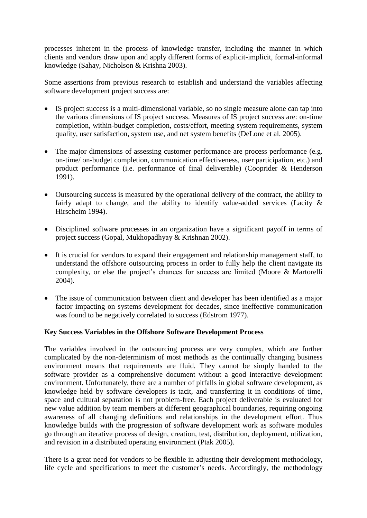processes inherent in the process of knowledge transfer, including the manner in which clients and vendors draw upon and apply different forms of explicit-implicit, formal-informal knowledge (Sahay, Nicholson & Krishna 2003).

Some assertions from previous research to establish and understand the variables affecting software development project success are:

- IS project success is a multi-dimensional variable, so no single measure alone can tap into the various dimensions of IS project success. Measures of IS project success are: on-time completion, within-budget completion, costs/effort, meeting system requirements, system quality, user satisfaction, system use, and net system benefits (DeLone et al. 2005).
- The major dimensions of assessing customer performance are process performance (e.g. on-time/ on-budget completion, communication effectiveness, user participation, etc.) and product performance (i.e. performance of final deliverable) (Cooprider & Henderson 1991).
- Outsourcing success is measured by the operational delivery of the contract, the ability to fairly adapt to change, and the ability to identify value-added services (Lacity & Hirscheim 1994).
- Disciplined software processes in an organization have a significant payoff in terms of project success (Gopal, Mukhopadhyay & Krishnan 2002).
- It is crucial for vendors to expand their engagement and relationship management staff, to understand the offshore outsourcing process in order to fully help the client navigate its complexity, or else the project's chances for success are limited (Moore & Martorelli 2004).
- The issue of communication between client and developer has been identified as a major factor impacting on systems development for decades, since ineffective communication was found to be negatively correlated to success (Edstrom 1977).

#### **Key Success Variables in the Offshore Software Development Process**

The variables involved in the outsourcing process are very complex, which are further complicated by the non-determinism of most methods as the continually changing business environment means that requirements are fluid. They cannot be simply handed to the software provider as a comprehensive document without a good interactive development environment. Unfortunately, there are a number of pitfalls in global software development, as knowledge held by software developers is tacit, and transferring it in conditions of time, space and cultural separation is not problem-free. Each project deliverable is evaluated for new value addition by team members at different geographical boundaries, requiring ongoing awareness of all changing definitions and relationships in the development effort. Thus knowledge builds with the progression of software development work as software modules go through an iterative process of design, creation, test, distribution, deployment, utilization, and revision in a distributed operating environment (Ptak 2005).

There is a great need for vendors to be flexible in adjusting their development methodology, life cycle and specifications to meet the customer's needs. Accordingly, the methodology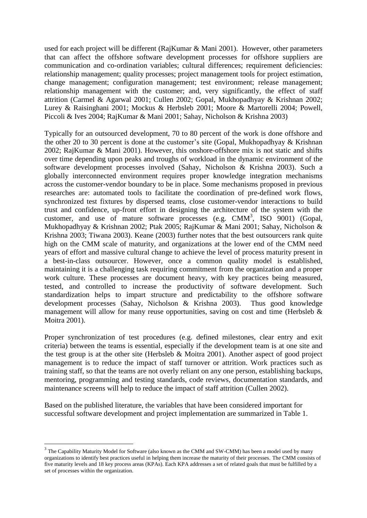used for each project will be different (RajKumar & Mani 2001). However, other parameters that can affect the offshore software development processes for offshore suppliers are communication and co-ordination variables; cultural differences; requirement deficiencies: relationship management; quality processes; project management tools for project estimation, change management; configuration management; test environment; release management; relationship management with the customer; and, very significantly, the effect of staff attrition (Carmel & Agarwal 2001; Cullen 2002; Gopal, Mukhopadhyay & Krishnan 2002; Lurey & Raisinghani 2001; Mockus & Herbsleb 2001; Moore & Martorelli 2004; Powell, Piccoli & Ives 2004; RajKumar & Mani 2001; Sahay, Nicholson & Krishna 2003)

Typically for an outsourced development, 70 to 80 percent of the work is done offshore and the other 20 to 30 percent is done at the customer's site (Gopal, Mukhopadhyay & Krishnan 2002; RajKumar & Mani 2001). However, this onshore-offshore mix is not static and shifts over time depending upon peaks and troughs of workload in the dynamic environment of the software development processes involved (Sahay, Nicholson & Krishna 2003). Such a globally interconnected environment requires proper knowledge integration mechanisms across the customer-vendor boundary to be in place. Some mechanisms proposed in previous researches are: automated tools to facilitate the coordination of pre-defined work flows, synchronized test fixtures by dispersed teams, close customer-vendor interactions to build trust and confidence, up-front effort in designing the architecture of the system with the customer, and use of mature software processes (e.g.  $CMM^3$ , ISO 9001) (Gopal, Mukhopadhyay & Krishnan 2002; Ptak 2005; RajKumar & Mani 2001; Sahay, Nicholson & Krishna 2003; Tiwana 2003). Keane (2003) further notes that the best outsourcers rank quite high on the CMM scale of maturity, and organizations at the lower end of the CMM need years of effort and massive cultural change to achieve the level of process maturity present in a best-in-class outsourcer. However, once a common quality model is established, maintaining it is a challenging task requiring commitment from the organization and a proper work culture. These processes are document heavy, with key practices being measured, tested, and controlled to increase the productivity of software development. Such standardization helps to impart structure and predictability to the offshore software development processes (Sahay, Nicholson & Krishna 2003). Thus good knowledge management will allow for many reuse opportunities, saving on cost and time (Herbsleb  $\&$ Moitra 2001).

Proper synchronization of test procedures (e.g. defined milestones, clear entry and exit criteria) between the teams is essential, especially if the development team is at one site and the test group is at the other site (Herbsleb & Moitra 2001). Another aspect of good project management is to reduce the impact of staff turnover or attrition. Work practices such as training staff, so that the teams are not overly reliant on any one person, establishing backups, mentoring, programming and testing standards, code reviews, documentation standards, and maintenance screens will help to reduce the impact of staff attrition (Cullen 2002).

Based on the published literature, the variables that have been considered important for successful software development and project implementation are summarized in Table 1.

1

 $3$  The Capability Maturity Model for Software (also known as the CMM and SW-CMM) has been a model used by many organizations to identify best practices useful in helping them increase the maturity of their processes. The CMM consists of five maturity levels and 18 key process areas (KPAs). Each KPA addresses a set of related goals that must be fulfilled by a set of processes within the organization.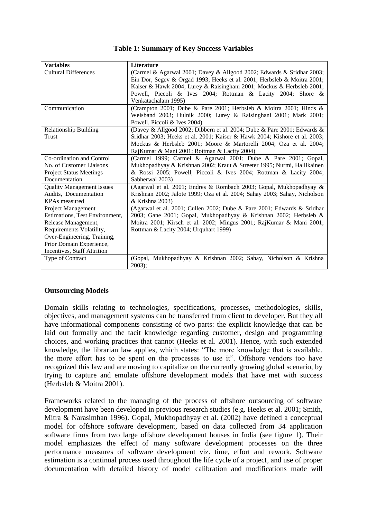#### **Table 1: Summary of Key Success Variables**

| <b>Variables</b>                 | <b>Literature</b>                                                         |  |  |
|----------------------------------|---------------------------------------------------------------------------|--|--|
| <b>Cultural Differences</b>      | (Carmel & Agarwal 2001; Davey & Allgood 2002; Edwards & Sridhar 2003;     |  |  |
|                                  | Ein Dor, Segev & Orgad 1993; Heeks et al. 2001; Herbsleb & Moitra 2001;   |  |  |
|                                  | Kaiser & Hawk 2004; Lurey & Raisinghani 2001; Mockus & Herbsleb 2001;     |  |  |
|                                  | Powell, Piccoli & Ives 2004; Rottman & Lacity 2004; Shore &               |  |  |
|                                  | Venkatachalam 1995)                                                       |  |  |
| Communication                    | (Crampton 2001; Dube & Pare 2001; Herbsleb & Moitra 2001; Hinds &         |  |  |
|                                  | Weisband 2003; Hulnik 2000; Lurey & Raisinghani 2001; Mark 2001;          |  |  |
|                                  | Powell, Piccoli & Ives 2004)                                              |  |  |
| <b>Relationship Building</b>     | (Davey & Allgood 2002; Dibbern et al. 2004; Dube & Pare 2001; Edwards &   |  |  |
| Trust                            | Sridhar 2003; Heeks et al. 2001; Kaiser & Hawk 2004; Kishore et al. 2003; |  |  |
|                                  | Mockus & Herbsleb 2001; Moore & Martorelli 2004; Oza et al. 2004;         |  |  |
|                                  | RajKumar & Mani 2001; Rottman & Lacity 2004)                              |  |  |
| Co-ordination and Control        | (Carmel 1999; Carmel & Agarwal 2001; Dube & Pare 2001; Gopal,             |  |  |
| No. of Customer Liaisons         | Mukhopadhyay & Krishnan 2002; Kraut & Streeter 1995; Nurmi, Hallikainen   |  |  |
| <b>Project Status Meetings</b>   | & Rossi 2005; Powell, Piccoli & Ives 2004; Rottman & Lacity 2004;         |  |  |
| Documentation                    | Sabherwal 2003)                                                           |  |  |
| <b>Quality Management Issues</b> | (Agarwal et al. 2001; Endres & Rombach 2003; Gopal, Mukhopadhyay &        |  |  |
| Audits, Documentation            | Krishnan 2002; Jalote 1999; Oza et al. 2004; Sahay 2003; Sahay, Nicholson |  |  |
| <b>KPAs</b> measured             | & Krishna 2003)                                                           |  |  |
| <b>Project Management</b>        | (Agarwal et al. 2001; Cullen 2002; Dube & Pare 2001; Edwards & Sridhar    |  |  |
| Estimations, Test Environment,   | 2003; Gane 2001; Gopal, Mukhopadhyay & Krishnan 2002; Herbsleb &          |  |  |
| Release Management,              | Moitra 2001; Kirsch et al. 2002; Mingus 2001; RajKumar & Mani 2001;       |  |  |
| Requirements Volatility,         | Rottman & Lacity 2004; Urquhart 1999)                                     |  |  |
| Over-Engineering, Training,      |                                                                           |  |  |
| Prior Domain Experience,         |                                                                           |  |  |
| Incentives, Staff Attrition      |                                                                           |  |  |
| Type of Contract                 | (Gopal, Mukhopadhyay & Krishnan 2002; Sahay, Nicholson & Krishna          |  |  |
|                                  | $2003$ ;                                                                  |  |  |

#### **Outsourcing Models**

Domain skills relating to technologies, specifications, processes, methodologies, skills, objectives, and management systems can be transferred from client to developer. But they all have informational components consisting of two parts: the explicit knowledge that can be laid out formally and the tacit knowledge regarding customer, design and programming choices, and working practices that cannot (Heeks et al. 2001). Hence, with such extended knowledge, the librarian law applies, which states: "The more knowledge that is available, the more effort has to be spent on the processes to use it". Offshore vendors too have recognized this law and are moving to capitalize on the currently growing global scenario, by trying to capture and emulate offshore development models that have met with success (Herbsleb & Moitra 2001).

Frameworks related to the managing of the process of offshore outsourcing of software development have been developed in previous research studies (e.g. Heeks et al. 2001; Smith, Mitra & Narasimhan 1996). Gopal, Mukhopadhyay et al. (2002) have defined a conceptual model for offshore software development, based on data collected from 34 application software firms from two large offshore development houses in India (see figure 1). Their model emphasizes the effect of many software development processes on the three performance measures of software development viz. time, effort and rework. Software estimation is a continual process used throughout the life cycle of a project, and use of proper documentation with detailed history of model calibration and modifications made will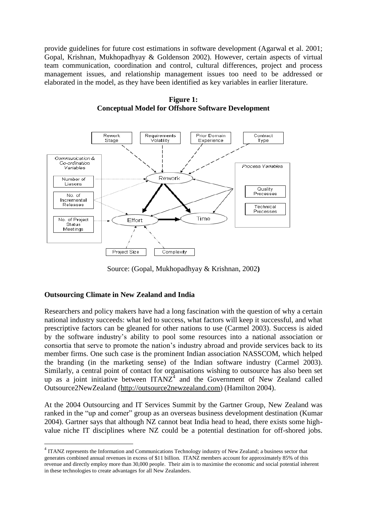provide guidelines for future cost estimations in software development (Agarwal et al. 2001; Gopal, Krishnan, Mukhopadhyay & Goldenson 2002). However, certain aspects of virtual team communication, coordination and control, cultural differences, project and process management issues, and relationship management issues too need to be addressed or elaborated in the model, as they have been identified as key variables in earlier literature.



**Figure 1: Conceptual Model for Offshore Software Development**

Source: (Gopal, Mukhopadhyay & Krishnan, 2002**)**

# **Outsourcing Climate in New Zealand and India**

1

Researchers and policy makers have had a long fascination with the question of why a certain national industry succeeds: what led to success, what factors will keep it successful, and what prescriptive factors can be gleaned for other nations to use (Carmel 2003). Success is aided by the software industry"s ability to pool some resources into a national association or consortia that serve to promote the nation"s industry abroad and provide services back to its member firms. One such case is the prominent Indian association NASSCOM, which helped the branding (in the marketing sense) of the Indian software industry (Carmel 2003). Similarly, a central point of contact for organisations wishing to outsource has also been set up as a joint initiative between  $ITANZ<sup>4</sup>$  and the Government of New Zealand called Outsource2NewZealand [\(http://outsource2newzealand.com\)](http://outsource2newzealand.com/) (Hamilton 2004).

At the 2004 Outsourcing and IT Services Summit by the Gartner Group, New Zealand was ranked in the "up and comer" group as an overseas business development destination (Kumar 2004). Gartner says that although NZ cannot beat India head to head, there exists some highvalue niche IT disciplines where NZ could be a potential destination for off-shored jobs.

<sup>&</sup>lt;sup>4</sup> ITANZ represents the Information and Communications Technology industry of New Zealand; a business sector that generates combined annual revenues in excess of \$11 billion. ITANZ members account for approximately 85% of this revenue and directly employ more than 30,000 people. Their aim is to maximise the economic and social potential inherent in these technologies to create advantages for all New Zealanders.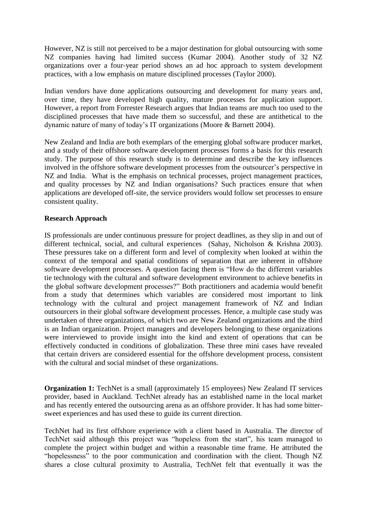However, NZ is still not perceived to be a major destination for global outsourcing with some NZ companies having had limited success (Kumar 2004). Another study of 32 NZ organizations over a four-year period shows an ad hoc approach to system development practices, with a low emphasis on mature disciplined processes (Taylor 2000).

Indian vendors have done applications outsourcing and development for many years and, over time, they have developed high quality, mature processes for application support. However, a report from Forrester Research argues that Indian teams are much too used to the disciplined processes that have made them so successful, and these are antithetical to the dynamic nature of many of today"s IT organizations (Moore & Barnett 2004).

New Zealand and India are both exemplars of the emerging global software producer market, and a study of their offshore software development processes forms a basis for this research study. The purpose of this research study is to determine and describe the key influences involved in the offshore software development processes from the outsourcer's perspective in NZ and India. What is the emphasis on technical processes, project management practices, and quality processes by NZ and Indian organisations? Such practices ensure that when applications are developed off-site, the service providers would follow set processes to ensure consistent quality.

### **Research Approach**

IS professionals are under continuous pressure for project deadlines, as they slip in and out of different technical, social, and cultural experiences (Sahay, Nicholson & Krishna 2003). These pressures take on a different form and level of complexity when looked at within the context of the temporal and spatial conditions of separation that are inherent in offshore software development processes. A question facing them is "How do the different variables tie technology with the cultural and software development environment to achieve benefits in the global software development processes?" Both practitioners and academia would benefit from a study that determines which variables are considered most important to link technology with the cultural and project management framework of NZ and Indian outsourcers in their global software development processes. Hence, a multiple case study was undertaken of three organizations, of which two are New Zealand organizations and the third is an Indian organization. Project managers and developers belonging to these organizations were interviewed to provide insight into the kind and extent of operations that can be effectively conducted in conditions of globalization. These three mini cases have revealed that certain drivers are considered essential for the offshore development process, consistent with the cultural and social mindset of these organizations.

**Organization 1:** TechNet is a small (approximately 15 employees) New Zealand IT services provider, based in Auckland. TechNet already has an established name in the local market and has recently entered the outsourcing arena as an offshore provider. It has had some bittersweet experiences and has used these to guide its current direction.

TechNet had its first offshore experience with a client based in Australia. The director of TechNet said although this project was "hopeless from the start", his team managed to complete the project within budget and within a reasonable time frame. He attributed the "hopelessness" to the poor communication and coordination with the client. Though NZ shares a close cultural proximity to Australia, TechNet felt that eventually it was the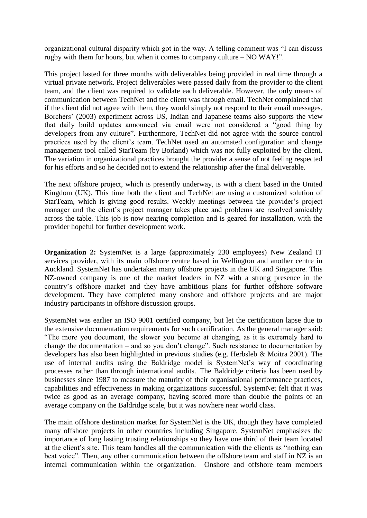organizational cultural disparity which got in the way. A telling comment was "I can discuss rugby with them for hours, but when it comes to company culture – NO WAY!".

This project lasted for three months with deliverables being provided in real time through a virtual private network. Project deliverables were passed daily from the provider to the client team, and the client was required to validate each deliverable. However, the only means of communication between TechNet and the client was through email. TechNet complained that if the client did not agree with them, they would simply not respond to their email messages. Borchers' (2003) experiment across US, Indian and Japanese teams also supports the view that daily build updates announced via email were not considered a "good thing by developers from any culture". Furthermore, TechNet did not agree with the source control practices used by the client"s team. TechNet used an automated configuration and change management tool called StarTeam (by Borland) which was not fully exploited by the client. The variation in organizational practices brought the provider a sense of not feeling respected for his efforts and so he decided not to extend the relationship after the final deliverable.

The next offshore project, which is presently underway, is with a client based in the United Kingdom (UK). This time both the client and TechNet are using a customized solution of StarTeam, which is giving good results. Weekly meetings between the provider's project manager and the client's project manager takes place and problems are resolved amicably across the table. This job is now nearing completion and is geared for installation, with the provider hopeful for further development work.

**Organization 2:** SystemNet is a large (approximately 230 employees) New Zealand IT services provider, with its main offshore centre based in Wellington and another centre in Auckland. SystemNet has undertaken many offshore projects in the UK and Singapore. This NZ-owned company is one of the market leaders in NZ with a strong presence in the country"s offshore market and they have ambitious plans for further offshore software development. They have completed many onshore and offshore projects and are major industry participants in offshore discussion groups.

SystemNet was earlier an ISO 9001 certified company, but let the certification lapse due to the extensive documentation requirements for such certification. As the general manager said: "The more you document, the slower you become at changing, as it is extremely hard to change the documentation – and so you don"t change". Such resistance to documentation by developers has also been highlighted in previous studies (e.g. Herbsleb & Moitra 2001). The use of internal audits using the Baldridge model is SystemNet's way of coordinating processes rather than through international audits. The Baldridge criteria has been used by businesses since 1987 to measure the maturity of their organisational performance practices, capabilities and effectiveness in making organizations successful. SystemNet felt that it was twice as good as an average company, having scored more than double the points of an average company on the Baldridge scale, but it was nowhere near world class.

The main offshore destination market for SystemNet is the UK, though they have completed many offshore projects in other countries including Singapore. SystemNet emphasizes the importance of long lasting trusting relationships so they have one third of their team located at the client"s site. This team handles all the communication with the clients as "nothing can beat voice". Then, any other communication between the offshore team and staff in NZ is an internal communication within the organization. Onshore and offshore team members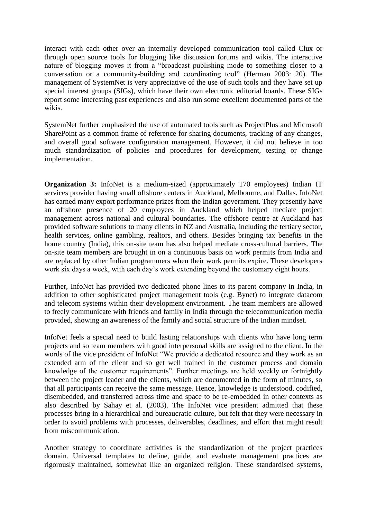interact with each other over an internally developed communication tool called Clux or through open source tools for blogging like discussion forums and wikis. The interactive nature of blogging moves it from a "broadcast publishing mode to something closer to a conversation or a community-building and coordinating tool" (Herman 2003: 20). The management of SystemNet is very appreciative of the use of such tools and they have set up special interest groups (SIGs), which have their own electronic editorial boards. These SIGs report some interesting past experiences and also run some excellent documented parts of the wikis.

SystemNet further emphasized the use of automated tools such as ProjectPlus and Microsoft SharePoint as a common frame of reference for sharing documents, tracking of any changes, and overall good software configuration management. However, it did not believe in too much standardization of policies and procedures for development, testing or change implementation.

**Organization 3:** InfoNet is a medium-sized (approximately 170 employees) Indian IT services provider having small offshore centers in Auckland, Melbourne, and Dallas. InfoNet has earned many export performance prizes from the Indian government. They presently have an offshore presence of 20 employees in Auckland which helped mediate project management across national and cultural boundaries. The offshore centre at Auckland has provided software solutions to many clients in NZ and Australia, including the tertiary sector, health services, online gambling, realtors, and others. Besides bringing tax benefits in the home country (India), this on-site team has also helped mediate cross-cultural barriers. The on-site team members are brought in on a continuous basis on work permits from India and are replaced by other Indian programmers when their work permits expire. These developers work six days a week, with each day"s work extending beyond the customary eight hours.

Further, InfoNet has provided two dedicated phone lines to its parent company in India, in addition to other sophisticated project management tools (e.g. Bynet) to integrate datacom and telecom systems within their development environment. The team members are allowed to freely communicate with friends and family in India through the telecommunication media provided, showing an awareness of the family and social structure of the Indian mindset.

InfoNet feels a special need to build lasting relationships with clients who have long term projects and so team members with good interpersonal skills are assigned to the client. In the words of the vice president of InfoNet "We provide a dedicated resource and they work as an extended arm of the client and so get well trained in the customer process and domain knowledge of the customer requirements". Further meetings are held weekly or fortnightly between the project leader and the clients, which are documented in the form of minutes, so that all participants can receive the same message. Hence, knowledge is understood, codified, disembedded, and transferred across time and space to be re-embedded in other contexts as also described by Sahay et al. (2003). The InfoNet vice president admitted that these processes bring in a hierarchical and bureaucratic culture, but felt that they were necessary in order to avoid problems with processes, deliverables, deadlines, and effort that might result from miscommunication.

Another strategy to coordinate activities is the standardization of the project practices domain. Universal templates to define, guide, and evaluate management practices are rigorously maintained, somewhat like an organized religion. These standardised systems,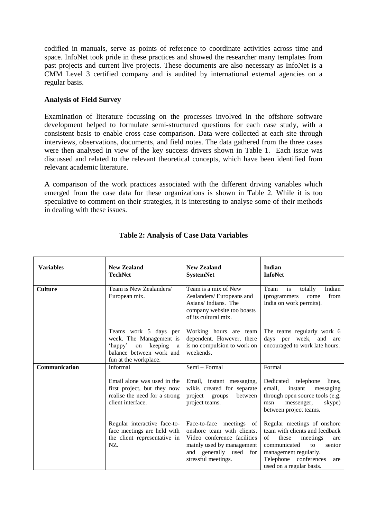codified in manuals, serve as points of reference to coordinate activities across time and space. InfoNet took pride in these practices and showed the researcher many templates from past projects and current live projects. These documents are also necessary as InfoNet is a CMM Level 3 certified company and is audited by international external agencies on a regular basis.

### **Analysis of Field Survey**

Examination of literature focussing on the processes involved in the offshore software development helped to formulate semi-structured questions for each case study, with a consistent basis to enable cross case comparison. Data were collected at each site through interviews, observations, documents, and field notes. The data gathered from the three cases were then analysed in view of the key success drivers shown in Table 1. Each issue was discussed and related to the relevant theoretical concepts, which have been identified from relevant academic literature.

A comparison of the work practices associated with the different driving variables which emerged from the case data for these organizations is shown in Table 2. While it is too speculative to comment on their strategies, it is interesting to analyse some of their methods in dealing with these issues.

| <b>Variables</b> | <b>New Zealand</b><br><b>TechNet</b>                                                                                             | <b>New Zealand</b><br><b>SystemNet</b>                                                                                                                              | Indian<br><b>InfoNet</b>                                                                                                                                                                                             |
|------------------|----------------------------------------------------------------------------------------------------------------------------------|---------------------------------------------------------------------------------------------------------------------------------------------------------------------|----------------------------------------------------------------------------------------------------------------------------------------------------------------------------------------------------------------------|
| <b>Culture</b>   | Team is New Zealanders/<br>European mix.                                                                                         | Team is a mix of New<br>Zealanders/Europeans and<br>Asians/Indians. The<br>company website too boasts<br>of its cultural mix.                                       | is<br>totally<br>Indian<br>Team<br>from<br>(programmers)<br>come<br>India on work permits).                                                                                                                          |
|                  | Teams work 5 days per<br>week. The Management is<br>'happy'<br>on keeping a<br>balance between work and<br>fun at the workplace. | Working hours are team<br>dependent. However, there<br>is no compulsion to work on<br>weekends.                                                                     | The teams regularly work 6<br>days per week, and<br>are<br>encouraged to work late hours.                                                                                                                            |
| Communication    | Informal                                                                                                                         | Semi - Formal                                                                                                                                                       | Formal                                                                                                                                                                                                               |
|                  | Email alone was used in the<br>first project, but they now<br>realise the need for a strong<br>client interface.                 | Email, instant messaging,<br>wikis created for separate<br>project groups<br>between<br>project teams.                                                              | Dedicated telephone<br>lines.<br>email.<br>instant<br>messaging<br>through open source tools (e.g.<br>skype)<br>msn<br>messenger,<br>between project teams.                                                          |
|                  | Regular interactive face-to-<br>face meetings are held with<br>the client representative in<br>NZ.                               | Face-to-face meetings of<br>onshore team with clients.<br>Video conference facilities<br>mainly used by management<br>and generally used for<br>stressful meetings. | Regular meetings of onshore<br>team with clients and feedback<br>οf<br>these<br>meetings<br>are<br>communicated<br>senior<br>to<br>management regularly.<br>Telephone conferences<br>are<br>used on a regular basis. |

# **Table 2: Analysis of Case Data Variables**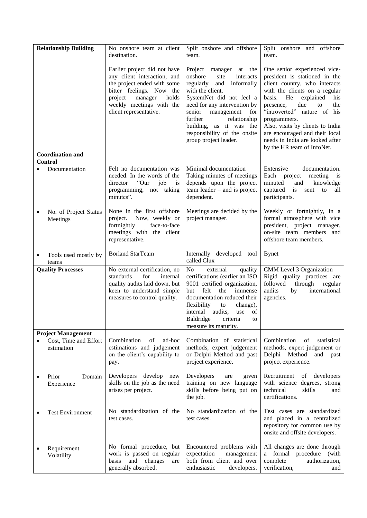|                           | <b>Relationship Building</b>        | No onshore team at client<br>destination.                                                                                                                                                                   | Split onshore and offshore<br>team.                                                                                                                                                                                                                                                                                    | Split onshore and offshore<br>team.                                                                                                                                                                                                                                                                                                                                                        |
|---------------------------|-------------------------------------|-------------------------------------------------------------------------------------------------------------------------------------------------------------------------------------------------------------|------------------------------------------------------------------------------------------------------------------------------------------------------------------------------------------------------------------------------------------------------------------------------------------------------------------------|--------------------------------------------------------------------------------------------------------------------------------------------------------------------------------------------------------------------------------------------------------------------------------------------------------------------------------------------------------------------------------------------|
|                           |                                     | Earlier project did not have<br>any client interaction, and<br>the project ended with some<br>bitter feelings. Now the<br>project<br>manager<br>holds<br>weekly meetings with the<br>client representative. | Project manager at the<br>onshore<br>site<br>interacts<br>regularly<br>and<br>informally<br>with the client.<br>SystemNet did not feel a<br>need for any intervention by<br>senior<br>management<br>for<br>further<br>relationship<br>building, as it was the<br>responsibility of the onsite<br>group project leader. | One senior experienced vice-<br>president is stationed in the<br>client country, who interacts<br>with the clients on a regular<br>basis.<br>He<br>explained<br>his<br>due<br>presence,<br>the<br>to<br>"introverted" nature of his<br>programmers.<br>Also, visits by clients to India<br>are encouraged and their local<br>needs in India are looked after<br>by the HR team of InfoNet. |
|                           | <b>Coordination and</b>             |                                                                                                                                                                                                             |                                                                                                                                                                                                                                                                                                                        |                                                                                                                                                                                                                                                                                                                                                                                            |
|                           | Control<br>Documentation            | Felt no documentation was<br>needed. In the words of the<br>"Our<br>director<br>job<br>is<br>programming, not taking<br>minutes".                                                                           | Minimal documentation<br>Taking minutes of meetings<br>depends upon the project<br>$team leader - and is project$<br>dependent.                                                                                                                                                                                        | Extensive<br>documentation.<br>Each<br>project<br>meeting<br>1S<br>minuted<br>and<br>knowledge<br>captured<br>is<br>sent<br>to<br>all<br>participants.                                                                                                                                                                                                                                     |
|                           | No. of Project Status<br>Meetings   | None in the first offshore<br>project. Now, weekly or<br>fortnightly<br>face-to-face<br>meetings with the client<br>representative.                                                                         | Meetings are decided by the<br>project manager.                                                                                                                                                                                                                                                                        | Weekly or fortnightly, in a<br>formal atmosphere with vice<br>president, project manager,<br>on-site team members<br>and<br>offshore team members.                                                                                                                                                                                                                                         |
| ٠                         | Tools used mostly by<br>teams       | <b>Borland StarTeam</b>                                                                                                                                                                                     | Internally developed tool<br>called Clux                                                                                                                                                                                                                                                                               | <b>Bynet</b>                                                                                                                                                                                                                                                                                                                                                                               |
|                           | <b>Quality Processes</b>            | No external certification, no<br>for<br>standards<br>internal<br>quality audits laid down, but<br>keen to understand simple<br>measures to control quality.                                                 | N <sub>o</sub><br>external<br>quality<br>certifications (earlier an ISO<br>9001 certified organization,<br>felt<br>the<br>immense<br>but<br>documentation reduced their<br>flexibility<br>change),<br>to<br>internal audits,<br>use of<br>Baldridge<br>criteria<br>to<br>measure its maturity.                         | CMM Level 3 Organization<br>Rigid quality practices are<br>through<br>followed<br>regular<br>audits<br>by<br>international<br>agencies.                                                                                                                                                                                                                                                    |
| <b>Project Management</b> |                                     |                                                                                                                                                                                                             |                                                                                                                                                                                                                                                                                                                        |                                                                                                                                                                                                                                                                                                                                                                                            |
|                           | Cost, Time and Effort<br>estimation | of<br>Combination<br>ad-hoc<br>estimations and judgement<br>on the client's capability to<br>pay.                                                                                                           | Combination of statistical<br>methods, expert judgement<br>or Delphi Method and past<br>project experience.                                                                                                                                                                                                            | Combination<br>of<br>statistical<br>methods, expert judgement or<br>Delphi Method<br>and<br>past<br>project experience.                                                                                                                                                                                                                                                                    |
|                           | Prior<br>Domain<br>Experience       | Developers develop<br>new<br>skills on the job as the need<br>arises per project.                                                                                                                           | Developers<br>given<br>are<br>training on new language<br>skills before being put on<br>the job.                                                                                                                                                                                                                       | Recruitment<br>of developers<br>with science degrees, strong<br>technical<br>skills<br>and<br>certifications.                                                                                                                                                                                                                                                                              |
|                           | <b>Test Environment</b>             | No standardization of the<br>test cases.                                                                                                                                                                    | No standardization of the<br>test cases.                                                                                                                                                                                                                                                                               | Test cases are standardized<br>and placed in a centralized<br>repository for common use by<br>onsite and offsite developers.                                                                                                                                                                                                                                                               |
|                           | Requirement<br>Volatility           | No formal procedure, but<br>work is passed on regular<br>changes<br>and<br>basis<br>are<br>generally absorbed.                                                                                              | Encountered problems with<br>expectation<br>management<br>both from client and over<br>enthusiastic<br>developers.                                                                                                                                                                                                     | All changes are done through<br>a formal procedure (with<br>complete<br>authorization,<br>verification,<br>and                                                                                                                                                                                                                                                                             |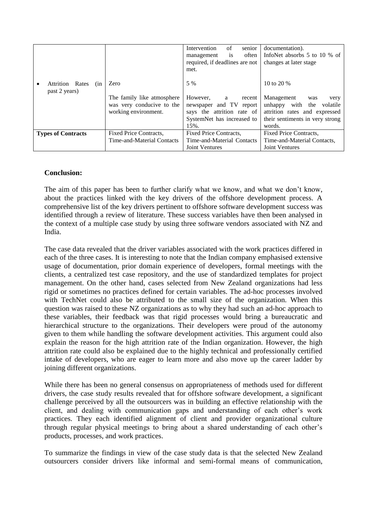|                                   |                            | senior<br>of<br>Intervention     | documentation).                 |
|-----------------------------------|----------------------------|----------------------------------|---------------------------------|
|                                   |                            | often<br><i>is</i><br>management | InfoNet absorbs 5 to 10 % of    |
|                                   |                            | required, if deadlines are not   | changes at later stage          |
|                                   |                            | met.                             |                                 |
|                                   |                            |                                  |                                 |
| Rates<br><b>Attrition</b><br>(nn) | Zero                       | 5 %                              | 10 to 20 %                      |
| past 2 years)                     |                            |                                  |                                 |
|                                   | The family like atmosphere | However,<br>recent<br>a          | Management<br>was<br>very       |
|                                   | was very conducive to the  | newspaper and TV<br>report       | with the<br>unhappy<br>volatile |
|                                   | working environment.       | says the attrition rate of       | attrition rates and expressed   |
|                                   |                            | SystemNet has increased to       | their sentiments in very strong |
|                                   |                            | 15%.                             | words.                          |
| <b>Types of Contracts</b>         | Fixed Price Contracts,     | Fixed Price Contracts,           | Fixed Price Contracts,          |
|                                   | Time-and-Material Contacts | Time-and-Material Contacts       | Time-and-Material Contacts,     |
|                                   |                            | <b>Joint Ventures</b>            | <b>Joint Ventures</b>           |

### **Conclusion:**

The aim of this paper has been to further clarify what we know, and what we don"t know, about the practices linked with the key drivers of the offshore development process. A comprehensive list of the key drivers pertinent to offshore software development success was identified through a review of literature. These success variables have then been analysed in the context of a multiple case study by using three software vendors associated with NZ and India.

The case data revealed that the driver variables associated with the work practices differed in each of the three cases. It is interesting to note that the Indian company emphasised extensive usage of documentation, prior domain experience of developers, formal meetings with the clients, a centralized test case repository, and the use of standardized templates for project management. On the other hand, cases selected from New Zealand organizations had less rigid or sometimes no practices defined for certain variables. The ad-hoc processes involved with TechNet could also be attributed to the small size of the organization. When this question was raised to these NZ organizations as to why they had such an ad-hoc approach to these variables, their feedback was that rigid processes would bring a bureaucratic and hierarchical structure to the organizations. Their developers were proud of the autonomy given to them while handling the software development activities. This argument could also explain the reason for the high attrition rate of the Indian organization. However, the high attrition rate could also be explained due to the highly technical and professionally certified intake of developers, who are eager to learn more and also move up the career ladder by joining different organizations.

While there has been no general consensus on appropriateness of methods used for different drivers, the case study results revealed that for offshore software development, a significant challenge perceived by all the outsourcers was in building an effective relationship with the client, and dealing with communication gaps and understanding of each other"s work practices. They each identified alignment of client and provider organizational culture through regular physical meetings to bring about a shared understanding of each other"s products, processes, and work practices.

To summarize the findings in view of the case study data is that the selected New Zealand outsourcers consider drivers like informal and semi-formal means of communication,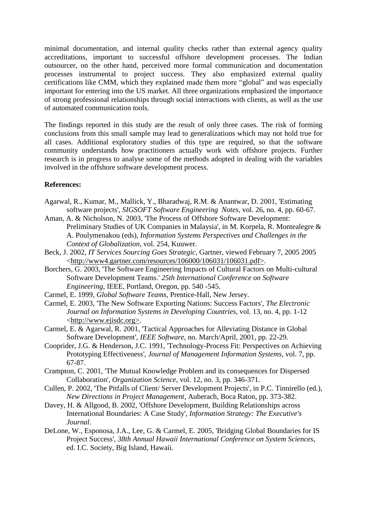minimal documentation, and internal quality checks rather than external agency quality accreditations, important to successful offshore development processes. The Indian outsourcer, on the other hand, perceived more formal communication and documentation processes instrumental to project success. They also emphasized external quality certifications like CMM, which they explained made them more "global" and was especially important for entering into the US market. All three organizations emphasized the importance of strong professional relationships through social interactions with clients, as well as the use of automated communication tools.

The findings reported in this study are the result of only three cases. The risk of forming conclusions from this small sample may lead to generalizations which may not hold true for all cases. Additional exploratory studies of this type are required, so that the software community understands how practitioners actually work with offshore projects. Further research is in progress to analyse some of the methods adopted in dealing with the variables involved in the offshore software development process.

#### **References:**

- Agarwal, R., Kumar, M., Mallick, Y., Bharadwaj, R.M. & Anantwar, D. 2001, 'Estimating software projects', *SIGSOFT Software Engineering Notes*, vol. 26, no. 4, pp. 60-67.
- Aman, A. & Nicholson, N. 2003, 'The Process of Offshore Software Development: Preliminary Studies of UK Companies in Malaysia', in M. Korpela, R. Montealegre & A. Poulymenakou (eds), *Information Systems Perspectives and Challenges in the Context of Globalization*, vol. 254, Kuuwer.
- Beck, J. 2002, *IT Services Sourcing Goes Strategic*, Gartner, viewed February 7, 2005 2005 [<http://www4.gartner.com/resources/106000/106031/106031.pdf>.](http://www4.gartner.com/resources/106000/106031/106031.pdf%3e)
- Borchers, G. 2003, 'The Software Engineering Impacts of Cultural Factors on Multi-cultural Software Development Teams.' *25th International Conference on Software Engineering*, IEEE, Portland, Oregon, pp. 540 -545.
- Carmel, E. 1999, *Global Software Teams*, Prentice-Hall, New Jersey.
- Carmel, E. 2003, 'The New Software Exporting Nations: Success Factors', *The Electronic Journal on Information Systems in Developing Countries*, vol. 13, no. 4, pp. 1-12 <http://www.ejisdc.org>.
- Carmel, E. & Agarwal, R. 2001, 'Tactical Approaches for Alleviating Distance in Global Software Development', *IEEE Software*, no. March/April, 2001, pp. 22-29.
- Cooprider, J.G. & Henderson, J.C. 1991, 'Technology-Process Fit: Perspectives on Achieving Prototyping Effectiveness', *Journal of Management Information Systems*, vol. 7, pp. 67-87.
- Crampton, C. 2001, 'The Mutual Knowledge Problem and its consequences for Dispersed Collaboration', *Organization Science*, vol. 12, no. 3, pp. 346-371.
- Cullen, P. 2002, 'The Pitfalls of Client/ Server Development Projects', in P.C. Tinnirello (ed.), *New Directions in Project Management*, Auberach, Boca Raton, pp. 373-382.
- Davey, H. & Allgood, B. 2002, 'Offshore Development, Building Relationships across International Boundaries: A Case Study', *Information Strategy: The Executive's Journal*.
- DeLone, W., Esponosa, J.A., Lee, G. & Carmel, E. 2005, 'Bridging Global Boundaries for IS Project Success', *38th Annual Hawaii International Conference on System Sciences*, ed. I.C. Society, Big Island, Hawaii.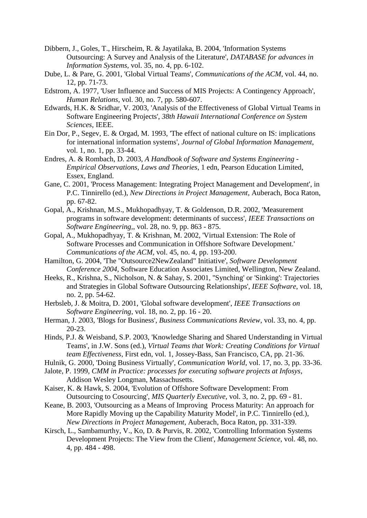- Dibbern, J., Goles, T., Hirscheim, R. & Jayatilaka, B. 2004, 'Information Systems Outsourcing: A Survey and Analysis of the Literature', *DATABASE for advances in Information Systems*, vol. 35, no. 4, pp. 6-102.
- Dube, L. & Pare, G. 2001, 'Global Virtual Teams', *Communications of the ACM*, vol. 44, no. 12, pp. 71-73.
- Edstrom, A. 1977, 'User Influence and Success of MIS Projects: A Contingency Approach', *Human Relations*, vol. 30, no. 7, pp. 580-607.
- Edwards, H.K. & Sridhar, V. 2003, 'Analysis of the Effectiveness of Global Virtual Teams in Software Engineering Projects', *38th Hawaii International Conference on System Sciences*, IEEE.
- Ein Dor, P., Segev, E. & Orgad, M. 1993, 'The effect of national culture on IS: implications for international information systems', *Journal of Global Information Management*, vol. 1, no. 1, pp. 33-44.
- Endres, A. & Rombach, D. 2003, *A Handbook of Software and Systems Engineering - Empirical Observations, Laws and Theories*, 1 edn, Pearson Education Limited, Essex, England.
- Gane, C. 2001, 'Process Management: Integrating Project Management and Development', in P.C. Tinnirello (ed.), *New Directions in Project Management*, Auberach, Boca Raton, pp. 67-82.
- Gopal, A., Krishnan, M.S., Mukhopadhyay, T. & Goldenson, D.R. 2002, 'Measurement programs in software development: determinants of success', *IEEE Transactions on Software Engineering,*, vol. 28, no. 9, pp. 863 - 875.
- Gopal, A., Mukhopadhyay, T. & Krishnan, M. 2002, 'Virtual Extension: The Role of Software Processes and Communication in Offshore Software Development.' *Communications of the ACM*, vol. 45, no. 4, pp. 193-200.
- Hamilton, G. 2004, 'The "Outsource2NewZealand" Initiative', *Software Development Conference 2004*, Software Education Associates Limited, Wellington, New Zealand.
- Heeks, R., Krishna, S., Nicholson, N. & Sahay, S. 2001, ''Synching' or 'Sinking': Trajectories and Strategies in Global Software Outsourcing Relationships', *IEEE Software*, vol. 18, no. 2, pp. 54-62.
- Herbsleb, J. & Moitra, D. 2001, 'Global software development', *IEEE Transactions on Software Engineering*, vol. 18, no. 2, pp. 16 - 20.
- Herman, J. 2003, 'Blogs for Business', *Business Communications Review*, vol. 33, no. 4, pp. 20-23.
- Hinds, P.J. & Weisband, S.P. 2003, 'Knowledge Sharing and Shared Understanding in Virtual Teams', in J.W. Sons (ed.), *Virtual Teams that Work: Creating Conditions for Virtual team Effectiveness*, First edn, vol. 1, Jossey-Bass, San Francisco, CA, pp. 21-36.
- Hulnik, G. 2000, 'Doing Business Virtually', *Communication World*, vol. 17, no. 3, pp. 33-36.
- Jalote, P. 1999, *CMM in Practice: processes for executing software projects at Infosys*, Addison Wesley Longman, Massachusetts.
- Kaiser, K. & Hawk, S. 2004, 'Evolution of Offshore Software Development: From Outsourcing to Cosourcing', *MIS Quarterly Executive*, vol. 3, no. 2, pp. 69 - 81.
- Keane, B. 2003, 'Outsourcing as a Means of Improving Process Maturity: An approach for More Rapidly Moving up the Capability Maturity Model', in P.C. Tinnirello (ed.), *New Directions in Project Management*, Auberach, Boca Raton, pp. 331-339.
- Kirsch, L., Sambamurthy, V., Ko, D. & Purvis, R. 2002, 'Controlling Information Systems Development Projects: The View from the Client', *Management Science*, vol. 48, no. 4, pp. 484 - 498.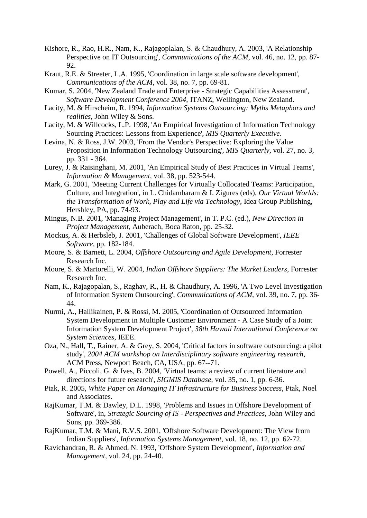- Kishore, R., Rao, H.R., Nam, K., Rajagoplalan, S. & Chaudhury, A. 2003, 'A Relationship Perspective on IT Outsourcing', *Communications of the ACM*, vol. 46, no. 12, pp. 87- 92.
- Kraut, R.E. & Streeter, L.A. 1995, 'Coordination in large scale software development', *Communications of the ACM*, vol. 38, no. 7, pp. 69-81.
- Kumar, S. 2004, 'New Zealand Trade and Enterprise Strategic Capabilities Assessment', *Software Development Conference 2004*, ITANZ, Wellington, New Zealand.
- Lacity, M. & Hirscheim, R. 1994, *Information Systems Outsourcing: Myths Metaphors and realities*, John Wiley & Sons.
- Lacity, M. & Willcocks, L.P. 1998, 'An Empirical Investigation of Information Technology Sourcing Practices: Lessons from Experience', *MIS Quarterly Executive*.
- Levina, N. & Ross, J.W. 2003, 'From the Vendor's Perspective: Exploring the Value Proposition in Information Technology Outsourcing', *MIS Quarterly*, vol. 27, no. 3, pp. 331 - 364.
- Lurey, J. & Raisinghani, M. 2001, 'An Empirical Study of Best Practices in Virtual Teams', *Information & Management*, vol. 38, pp. 523-544.
- Mark, G. 2001, 'Meeting Current Challenges for Virtually Collocated Teams: Participation, Culture, and Integration', in L. Chidambaram & I. Zigures (eds), *Our Virtual Worlds: the Transformation of Work, Play and Life via Technology*, Idea Group Publishing, Hershley, PA, pp. 74-93.
- Mingus, N.B. 2001, 'Managing Project Management', in T. P.C. (ed.), *New Direction in Project Management*, Auberach, Boca Raton, pp. 25-32.
- Mockus, A. & Herbsleb, J. 2001, 'Challenges of Global Software Development', *IEEE Software*, pp. 182-184.
- Moore, S. & Barnett, L. 2004, *Offshore Outsourcing and Agile Development*, Forrester Research Inc.
- Moore, S. & Martorelli, W. 2004, *Indian Offshore Suppliers: The Market Leaders*, Forrester Research Inc.
- Nam, K., Rajagopalan, S., Raghav, R., H. & Chaudhury, A. 1996, 'A Two Level Investigation of Information System Outsourcing', *Communications of ACM*, vol. 39, no. 7, pp. 36- 44.
- Nurmi, A., Hallikainen, P. & Rossi, M. 2005, 'Coordination of Outsourced Information System Development in Multiple Customer Environment - A Case Study of a Joint Information System Development Project', *38th Hawaii International Conference on System Sciences*, IEEE.
- Oza, N., Hall, T., Rainer, A. & Grey, S. 2004, 'Critical factors in software outsourcing: a pilot study', *2004 ACM workshop on Interdisciplinary software engineering research*, ACM Press, Newport Beach, CA, USA, pp. 67--71.
- Powell, A., Piccoli, G. & Ives, B. 2004, 'Virtual teams: a review of current literature and directions for future research', *SIGMIS Database*, vol. 35, no. 1, pp. 6-36.
- Ptak, R. 2005, *White Paper on Managing IT Infrastructure for Business Success*, Ptak, Noel and Associates.
- RajKumar, T.M. & Dawley, D.L. 1998, 'Problems and Issues in Offshore Development of Software', in, *Strategic Sourcing of IS - Perspectives and Practices*, John Wiley and Sons, pp. 369-386.
- RajKumar, T.M. & Mani, R.V.S. 2001, 'Offshore Software Development: The View from Indian Suppliers', *Information Systems Management*, vol. 18, no. 12, pp. 62-72.
- Ravichandran, R. & Ahmed, N. 1993, 'Offshore System Development', *Information and Management*, vol. 24, pp. 24-40.